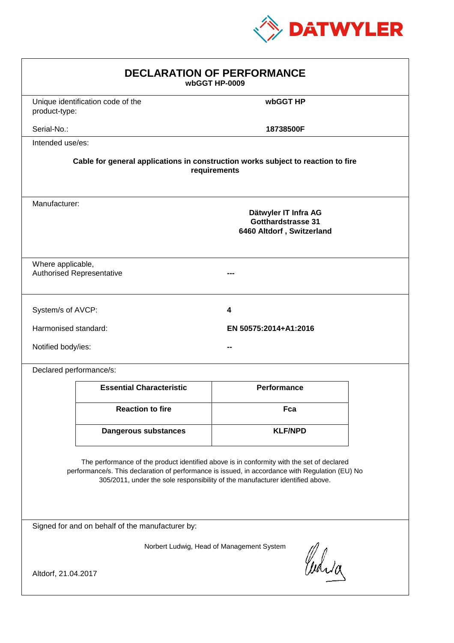

| <b>DECLARATION OF PERFORMANCE</b><br>wbGGT HP-0009                                                                                                                                                                                                                            |                       |                    |  |  |
|-------------------------------------------------------------------------------------------------------------------------------------------------------------------------------------------------------------------------------------------------------------------------------|-----------------------|--------------------|--|--|
| Unique identification code of the<br>product-type:                                                                                                                                                                                                                            |                       | wbGGT HP           |  |  |
| Serial-No.:                                                                                                                                                                                                                                                                   |                       | 18738500F          |  |  |
| Intended use/es:                                                                                                                                                                                                                                                              |                       |                    |  |  |
| Cable for general applications in construction works subject to reaction to fire<br>requirements                                                                                                                                                                              |                       |                    |  |  |
| Manufacturer:<br>Dätwyler IT Infra AG<br>Gotthardstrasse 31<br>6460 Altdorf, Switzerland                                                                                                                                                                                      |                       |                    |  |  |
| Where applicable,<br><b>Authorised Representative</b>                                                                                                                                                                                                                         |                       |                    |  |  |
| System/s of AVCP:                                                                                                                                                                                                                                                             | 4                     |                    |  |  |
| Harmonised standard:                                                                                                                                                                                                                                                          | EN 50575:2014+A1:2016 |                    |  |  |
| Notified body/ies:                                                                                                                                                                                                                                                            |                       |                    |  |  |
| Declared performance/s:                                                                                                                                                                                                                                                       |                       |                    |  |  |
| <b>Essential Characteristic</b>                                                                                                                                                                                                                                               |                       | <b>Performance</b> |  |  |
| <b>Reaction to fire</b>                                                                                                                                                                                                                                                       |                       | Fca                |  |  |
| <b>Dangerous substances</b>                                                                                                                                                                                                                                                   |                       | <b>KLF/NPD</b>     |  |  |
| The performance of the product identified above is in conformity with the set of declared<br>performance/s. This declaration of performance is issued, in accordance with Regulation (EU) No<br>305/2011, under the sole responsibility of the manufacturer identified above. |                       |                    |  |  |
| Signed for and on behalf of the manufacturer by:                                                                                                                                                                                                                              |                       |                    |  |  |
| Norbert Ludwig, Head of Management System<br>Curia<br>Altdorf, 21.04.2017                                                                                                                                                                                                     |                       |                    |  |  |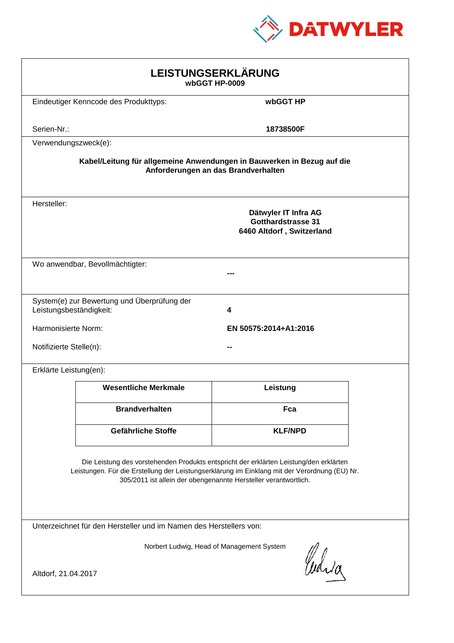

| LEISTUNGSERKLÄRUNG<br>wbGGT HP-0009                                                                                                                                                                                                                        |                                                                        |                                                                                |  |  |
|------------------------------------------------------------------------------------------------------------------------------------------------------------------------------------------------------------------------------------------------------------|------------------------------------------------------------------------|--------------------------------------------------------------------------------|--|--|
|                                                                                                                                                                                                                                                            | Eindeutiger Kenncode des Produkttyps:                                  | wbGGT HP                                                                       |  |  |
| Serien-Nr.:                                                                                                                                                                                                                                                |                                                                        | 18738500F                                                                      |  |  |
| Verwendungszweck(e):                                                                                                                                                                                                                                       |                                                                        |                                                                                |  |  |
|                                                                                                                                                                                                                                                            | Kabel/Leitung für allgemeine Anwendungen in Bauwerken in Bezug auf die | Anforderungen an das Brandverhalten                                            |  |  |
| Hersteller:                                                                                                                                                                                                                                                |                                                                        | Dätwyler IT Infra AG<br><b>Gotthardstrasse 31</b><br>6460 Altdorf, Switzerland |  |  |
|                                                                                                                                                                                                                                                            | Wo anwendbar, Bevollmächtigter:                                        |                                                                                |  |  |
| Leistungsbeständigkeit:                                                                                                                                                                                                                                    | System(e) zur Bewertung und Überprüfung der                            | 4                                                                              |  |  |
| Harmonisierte Norm:                                                                                                                                                                                                                                        |                                                                        | EN 50575:2014+A1:2016                                                          |  |  |
| Notifizierte Stelle(n):                                                                                                                                                                                                                                    |                                                                        |                                                                                |  |  |
| Erklärte Leistung(en):                                                                                                                                                                                                                                     |                                                                        |                                                                                |  |  |
|                                                                                                                                                                                                                                                            | <b>Wesentliche Merkmale</b>                                            | Leistung                                                                       |  |  |
|                                                                                                                                                                                                                                                            | <b>Brandverhalten</b>                                                  | Fca                                                                            |  |  |
|                                                                                                                                                                                                                                                            | Gefährliche Stoffe                                                     | <b>KLF/NPD</b>                                                                 |  |  |
| Die Leistung des vorstehenden Produkts entspricht der erklärten Leistung/den erklärten<br>Leistungen. Für die Erstellung der Leistungserklärung im Einklang mit der Verordnung (EU) Nr.<br>305/2011 ist allein der obengenannte Hersteller verantwortlich. |                                                                        |                                                                                |  |  |
| Unterzeichnet für den Hersteller und im Namen des Herstellers von:                                                                                                                                                                                         |                                                                        |                                                                                |  |  |
| Norbert Ludwig, Head of Management System<br>Curia                                                                                                                                                                                                         |                                                                        |                                                                                |  |  |
| Altdorf, 21.04.2017                                                                                                                                                                                                                                        |                                                                        |                                                                                |  |  |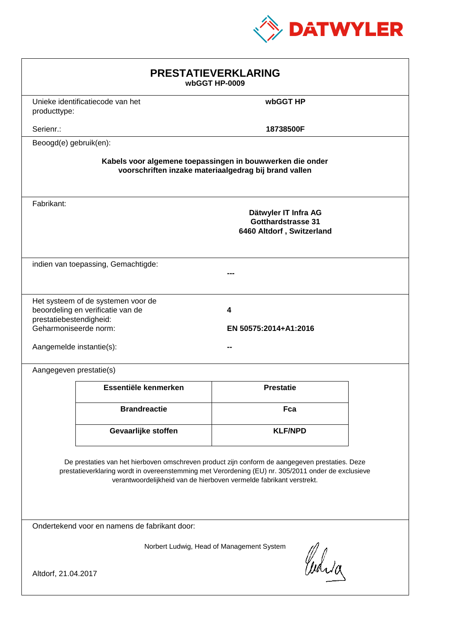

| <b>PRESTATIEVERKLARING</b><br>wbGGT HP-0009                                                                                                                                                                                                                                 |                                                                         |                                                                                |  |  |
|-----------------------------------------------------------------------------------------------------------------------------------------------------------------------------------------------------------------------------------------------------------------------------|-------------------------------------------------------------------------|--------------------------------------------------------------------------------|--|--|
| producttype:                                                                                                                                                                                                                                                                | Unieke identificatiecode van het                                        | wbGGT HP                                                                       |  |  |
| Serienr.:                                                                                                                                                                                                                                                                   |                                                                         | 18738500F                                                                      |  |  |
| Beoogd(e) gebruik(en):                                                                                                                                                                                                                                                      |                                                                         |                                                                                |  |  |
| Kabels voor algemene toepassingen in bouwwerken die onder<br>voorschriften inzake materiaalgedrag bij brand vallen                                                                                                                                                          |                                                                         |                                                                                |  |  |
| Fabrikant:                                                                                                                                                                                                                                                                  |                                                                         | Dätwyler IT Infra AG<br><b>Gotthardstrasse 31</b><br>6460 Altdorf, Switzerland |  |  |
|                                                                                                                                                                                                                                                                             | indien van toepassing, Gemachtigde:                                     |                                                                                |  |  |
| prestatiebestendigheid:<br>Geharmoniseerde norm:<br>Aangemelde instantie(s):                                                                                                                                                                                                | Het systeem of de systemen voor de<br>beoordeling en verificatie van de | 4<br>EN 50575:2014+A1:2016                                                     |  |  |
| Aangegeven prestatie(s)                                                                                                                                                                                                                                                     |                                                                         |                                                                                |  |  |
|                                                                                                                                                                                                                                                                             | Essentiële kenmerken                                                    | <b>Prestatie</b>                                                               |  |  |
|                                                                                                                                                                                                                                                                             | <b>Brandreactie</b>                                                     | Fca                                                                            |  |  |
|                                                                                                                                                                                                                                                                             | Gevaarlijke stoffen                                                     | <b>KLF/NPD</b>                                                                 |  |  |
| De prestaties van het hierboven omschreven product zijn conform de aangegeven prestaties. Deze<br>prestatieverklaring wordt in overeenstemming met Verordening (EU) nr. 305/2011 onder de exclusieve<br>verantwoordelijkheid van de hierboven vermelde fabrikant verstrekt. |                                                                         |                                                                                |  |  |
| Ondertekend voor en namens de fabrikant door:                                                                                                                                                                                                                               |                                                                         |                                                                                |  |  |
| Norbert Ludwig, Head of Management System<br>Curia<br>Altdorf, 21.04.2017                                                                                                                                                                                                   |                                                                         |                                                                                |  |  |
|                                                                                                                                                                                                                                                                             |                                                                         |                                                                                |  |  |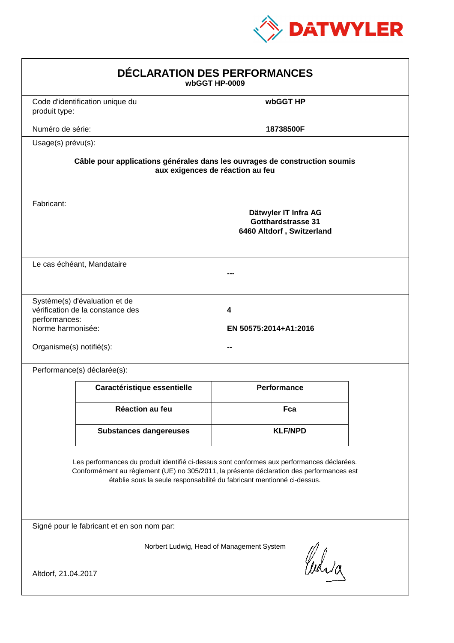

| DÉCLARATION DES PERFORMANCES<br>wbGGT HP-0009                  |                                                                   |                                                                                                                                                                                                                                                                  |  |
|----------------------------------------------------------------|-------------------------------------------------------------------|------------------------------------------------------------------------------------------------------------------------------------------------------------------------------------------------------------------------------------------------------------------|--|
| produit type:                                                  | Code d'identification unique du                                   | wbGGT HP                                                                                                                                                                                                                                                         |  |
| Numéro de série:                                               |                                                                   | 18738500F                                                                                                                                                                                                                                                        |  |
| Usage(s) prévu(s):                                             |                                                                   |                                                                                                                                                                                                                                                                  |  |
|                                                                |                                                                   | Câble pour applications générales dans les ouvrages de construction soumis<br>aux exigences de réaction au feu                                                                                                                                                   |  |
| Fabricant:                                                     |                                                                   | Dätwyler IT Infra AG<br><b>Gotthardstrasse 31</b><br>6460 Altdorf, Switzerland                                                                                                                                                                                   |  |
|                                                                | Le cas échéant, Mandataire                                        |                                                                                                                                                                                                                                                                  |  |
| performances:<br>Norme harmonisée:<br>Organisme(s) notifié(s): | Système(s) d'évaluation et de<br>vérification de la constance des | 4<br>EN 50575:2014+A1:2016                                                                                                                                                                                                                                       |  |
|                                                                | Performance(s) déclarée(s):                                       |                                                                                                                                                                                                                                                                  |  |
|                                                                | Caractéristique essentielle                                       | <b>Performance</b>                                                                                                                                                                                                                                               |  |
|                                                                | <b>Réaction au feu</b>                                            | Fca                                                                                                                                                                                                                                                              |  |
|                                                                | <b>Substances dangereuses</b>                                     | <b>KLF/NPD</b>                                                                                                                                                                                                                                                   |  |
|                                                                |                                                                   | Les performances du produit identifié ci-dessus sont conformes aux performances déclarées.<br>Conformément au règlement (UE) no 305/2011, la présente déclaration des performances est<br>établie sous la seule responsabilité du fabricant mentionné ci-dessus. |  |
|                                                                | Signé pour le fabricant et en son nom par:                        |                                                                                                                                                                                                                                                                  |  |
| Altdorf, 21.04.2017                                            |                                                                   | Norbert Ludwig, Head of Management System<br>Curia                                                                                                                                                                                                               |  |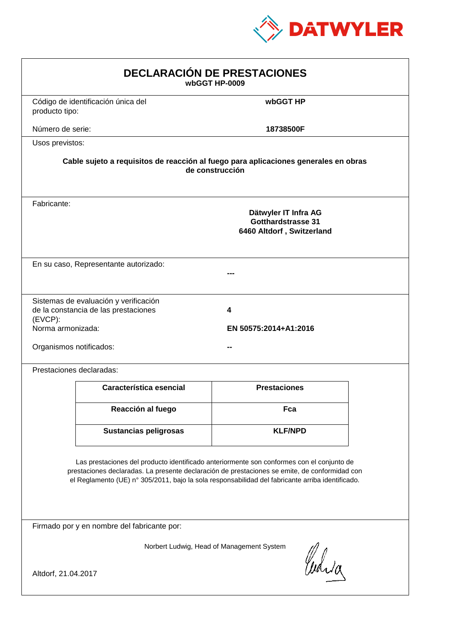

| <b>DECLARACIÓN DE PRESTACIONES</b><br>wbGGT HP-0009                                                                                                                                                                                                                                            |                                                                                                        |                            |  |  |  |
|------------------------------------------------------------------------------------------------------------------------------------------------------------------------------------------------------------------------------------------------------------------------------------------------|--------------------------------------------------------------------------------------------------------|----------------------------|--|--|--|
| producto tipo:                                                                                                                                                                                                                                                                                 | Código de identificación única del                                                                     | wbGGT HP                   |  |  |  |
| Número de serie:                                                                                                                                                                                                                                                                               |                                                                                                        | 18738500F                  |  |  |  |
| Usos previstos:                                                                                                                                                                                                                                                                                |                                                                                                        |                            |  |  |  |
|                                                                                                                                                                                                                                                                                                | Cable sujeto a requisitos de reacción al fuego para aplicaciones generales en obras<br>de construcción |                            |  |  |  |
| Fabricante:                                                                                                                                                                                                                                                                                    | Dätwyler IT Infra AG<br>Gotthardstrasse 31<br>6460 Altdorf, Switzerland                                |                            |  |  |  |
|                                                                                                                                                                                                                                                                                                | En su caso, Representante autorizado:                                                                  |                            |  |  |  |
| (EVCP):<br>Norma armonizada:<br>Organismos notificados:                                                                                                                                                                                                                                        | Sistemas de evaluación y verificación<br>de la constancia de las prestaciones                          | 4<br>EN 50575:2014+A1:2016 |  |  |  |
|                                                                                                                                                                                                                                                                                                | Prestaciones declaradas:                                                                               |                            |  |  |  |
|                                                                                                                                                                                                                                                                                                | Característica esencial                                                                                | <b>Prestaciones</b>        |  |  |  |
|                                                                                                                                                                                                                                                                                                | Reacción al fuego                                                                                      | Fca                        |  |  |  |
|                                                                                                                                                                                                                                                                                                | Sustancias peligrosas                                                                                  | <b>KLF/NPD</b>             |  |  |  |
| Las prestaciones del producto identificado anteriormente son conformes con el conjunto de<br>prestaciones declaradas. La presente declaración de prestaciones se emite, de conformidad con<br>el Reglamento (UE) nº 305/2011, bajo la sola responsabilidad del fabricante arriba identificado. |                                                                                                        |                            |  |  |  |
|                                                                                                                                                                                                                                                                                                | Firmado por y en nombre del fabricante por:                                                            |                            |  |  |  |
| Norbert Ludwig, Head of Management System<br>Curia<br>Altdorf, 21.04.2017                                                                                                                                                                                                                      |                                                                                                        |                            |  |  |  |
|                                                                                                                                                                                                                                                                                                |                                                                                                        |                            |  |  |  |